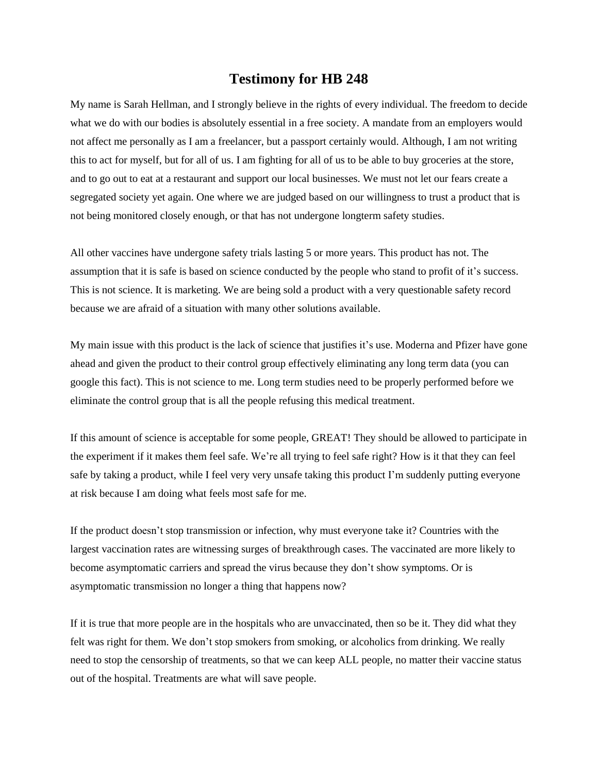## **Testimony for HB 248**

My name is Sarah Hellman, and I strongly believe in the rights of every individual. The freedom to decide what we do with our bodies is absolutely essential in a free society. A mandate from an employers would not affect me personally as I am a freelancer, but a passport certainly would. Although, I am not writing this to act for myself, but for all of us. I am fighting for all of us to be able to buy groceries at the store, and to go out to eat at a restaurant and support our local businesses. We must not let our fears create a segregated society yet again. One where we are judged based on our willingness to trust a product that is not being monitored closely enough, or that has not undergone longterm safety studies.

All other vaccines have undergone safety trials lasting 5 or more years. This product has not. The assumption that it is safe is based on science conducted by the people who stand to profit of it's success. This is not science. It is marketing. We are being sold a product with a very questionable safety record because we are afraid of a situation with many other solutions available.

My main issue with this product is the lack of science that justifies it's use. Moderna and Pfizer have gone ahead and given the product to their control group effectively eliminating any long term data (you can google this fact). This is not science to me. Long term studies need to be properly performed before we eliminate the control group that is all the people refusing this medical treatment.

If this amount of science is acceptable for some people, GREAT! They should be allowed to participate in the experiment if it makes them feel safe. We're all trying to feel safe right? How is it that they can feel safe by taking a product, while I feel very very unsafe taking this product I'm suddenly putting everyone at risk because I am doing what feels most safe for me.

If the product doesn't stop transmission or infection, why must everyone take it? Countries with the largest vaccination rates are witnessing surges of breakthrough cases. The vaccinated are more likely to become asymptomatic carriers and spread the virus because they don't show symptoms. Or is asymptomatic transmission no longer a thing that happens now?

If it is true that more people are in the hospitals who are unvaccinated, then so be it. They did what they felt was right for them. We don't stop smokers from smoking, or alcoholics from drinking. We really need to stop the censorship of treatments, so that we can keep ALL people, no matter their vaccine status out of the hospital. Treatments are what will save people.